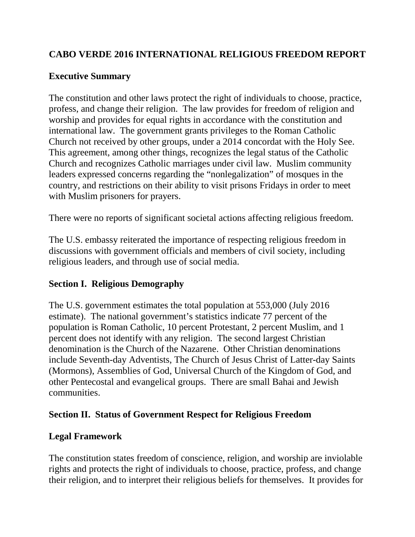### **CABO VERDE 2016 INTERNATIONAL RELIGIOUS FREEDOM REPORT**

### **Executive Summary**

The constitution and other laws protect the right of individuals to choose, practice, profess, and change their religion. The law provides for freedom of religion and worship and provides for equal rights in accordance with the constitution and international law. The government grants privileges to the Roman Catholic Church not received by other groups, under a 2014 concordat with the Holy See. This agreement, among other things, recognizes the legal status of the Catholic Church and recognizes Catholic marriages under civil law. Muslim community leaders expressed concerns regarding the "nonlegalization" of mosques in the country, and restrictions on their ability to visit prisons Fridays in order to meet with Muslim prisoners for prayers.

There were no reports of significant societal actions affecting religious freedom.

The U.S. embassy reiterated the importance of respecting religious freedom in discussions with government officials and members of civil society, including religious leaders, and through use of social media.

### **Section I. Religious Demography**

The U.S. government estimates the total population at 553,000 (July 2016 estimate). The national government's statistics indicate 77 percent of the population is Roman Catholic, 10 percent Protestant, 2 percent Muslim, and 1 percent does not identify with any religion. The second largest Christian denomination is the Church of the Nazarene. Other Christian denominations include Seventh-day Adventists, The Church of Jesus Christ of Latter-day Saints (Mormons), Assemblies of God, Universal Church of the Kingdom of God, and other Pentecostal and evangelical groups. There are small Bahai and Jewish communities.

#### **Section II. Status of Government Respect for Religious Freedom**

### **Legal Framework**

The constitution states freedom of conscience, religion, and worship are inviolable rights and protects the right of individuals to choose, practice, profess, and change their religion, and to interpret their religious beliefs for themselves. It provides for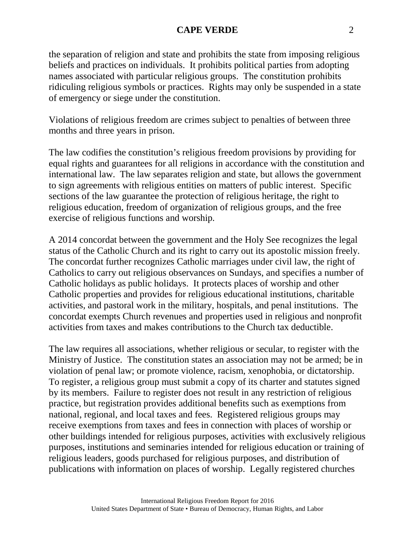#### **CAPE VERDE** 2

the separation of religion and state and prohibits the state from imposing religious beliefs and practices on individuals. It prohibits political parties from adopting names associated with particular religious groups. The constitution prohibits ridiculing religious symbols or practices. Rights may only be suspended in a state of emergency or siege under the constitution.

Violations of religious freedom are crimes subject to penalties of between three months and three years in prison.

The law codifies the constitution's religious freedom provisions by providing for equal rights and guarantees for all religions in accordance with the constitution and international law. The law separates religion and state, but allows the government to sign agreements with religious entities on matters of public interest. Specific sections of the law guarantee the protection of religious heritage, the right to religious education, freedom of organization of religious groups, and the free exercise of religious functions and worship.

A 2014 concordat between the government and the Holy See recognizes the legal status of the Catholic Church and its right to carry out its apostolic mission freely. The concordat further recognizes Catholic marriages under civil law, the right of Catholics to carry out religious observances on Sundays, and specifies a number of Catholic holidays as public holidays. It protects places of worship and other Catholic properties and provides for religious educational institutions, charitable activities, and pastoral work in the military, hospitals, and penal institutions. The concordat exempts Church revenues and properties used in religious and nonprofit activities from taxes and makes contributions to the Church tax deductible.

The law requires all associations, whether religious or secular, to register with the Ministry of Justice. The constitution states an association may not be armed; be in violation of penal law; or promote violence, racism, xenophobia, or dictatorship. To register, a religious group must submit a copy of its charter and statutes signed by its members. Failure to register does not result in any restriction of religious practice, but registration provides additional benefits such as exemptions from national, regional, and local taxes and fees. Registered religious groups may receive exemptions from taxes and fees in connection with places of worship or other buildings intended for religious purposes, activities with exclusively religious purposes, institutions and seminaries intended for religious education or training of religious leaders, goods purchased for religious purposes, and distribution of publications with information on places of worship. Legally registered churches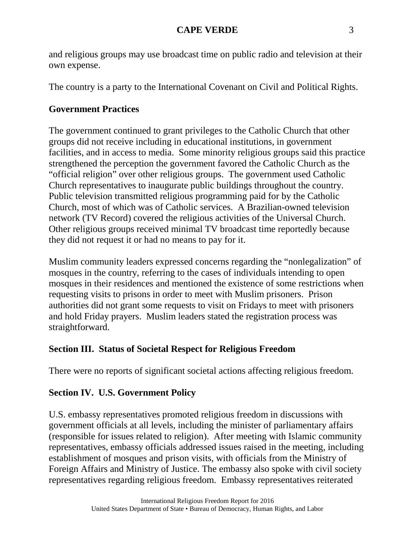and religious groups may use broadcast time on public radio and television at their own expense.

The country is a party to the International Covenant on Civil and Political Rights.

# **Government Practices**

The government continued to grant privileges to the Catholic Church that other groups did not receive including in educational institutions, in government facilities, and in access to media. Some minority religious groups said this practice strengthened the perception the government favored the Catholic Church as the "official religion" over other religious groups. The government used Catholic Church representatives to inaugurate public buildings throughout the country. Public television transmitted religious programming paid for by the Catholic Church, most of which was of Catholic services. A Brazilian-owned television network (TV Record) covered the religious activities of the Universal Church. Other religious groups received minimal TV broadcast time reportedly because they did not request it or had no means to pay for it.

Muslim community leaders expressed concerns regarding the "nonlegalization" of mosques in the country, referring to the cases of individuals intending to open mosques in their residences and mentioned the existence of some restrictions when requesting visits to prisons in order to meet with Muslim prisoners. Prison authorities did not grant some requests to visit on Fridays to meet with prisoners and hold Friday prayers. Muslim leaders stated the registration process was straightforward.

## **Section III. Status of Societal Respect for Religious Freedom**

There were no reports of significant societal actions affecting religious freedom.

## **Section IV. U.S. Government Policy**

U.S. embassy representatives promoted religious freedom in discussions with government officials at all levels, including the minister of parliamentary affairs (responsible for issues related to religion). After meeting with Islamic community representatives, embassy officials addressed issues raised in the meeting, including establishment of mosques and prison visits, with officials from the Ministry of Foreign Affairs and Ministry of Justice. The embassy also spoke with civil society representatives regarding religious freedom. Embassy representatives reiterated